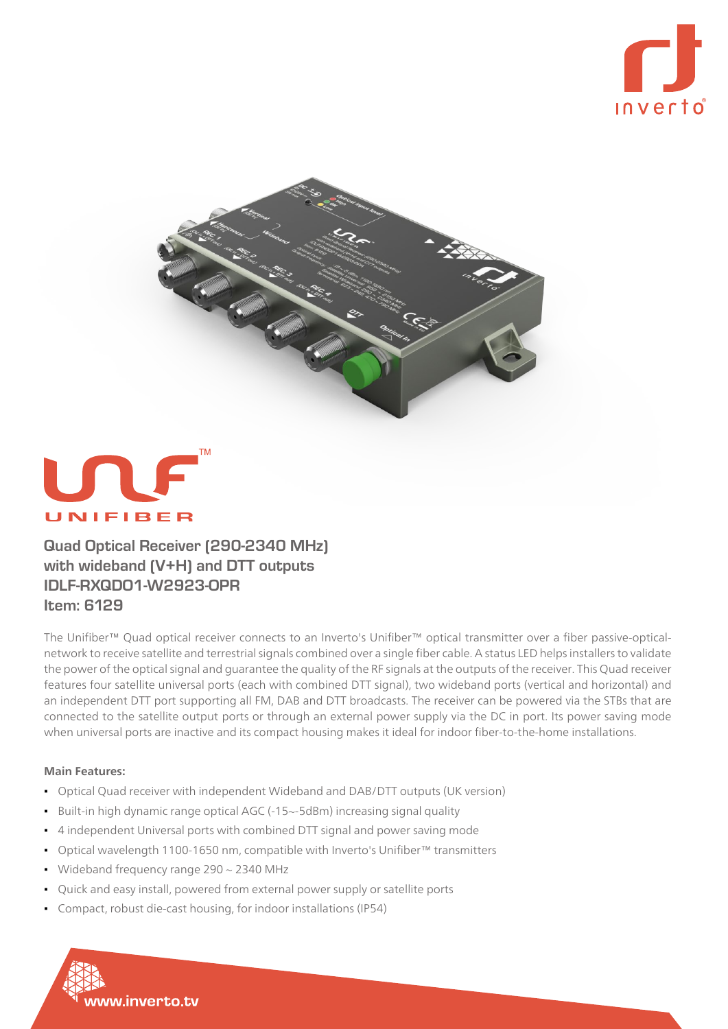





**Quad Optical Receiver (290-2340 MHz)** with wideband (V+H) and DTT outputs **IDLF-RXQDO1-W2923-OPR Item: 6129** 

network to receive satellite and terrestrial signals combined over a single fiber cable. A status LED helps installers to validate The Unifiber<sup>™</sup> Quad optical receiver connects to an Inverto's Unifiber<sup>™</sup> optical transmitter over a fiber passive-opticalthe power of the optical signal and guarantee the quality of the RF signals at the outputs of the receiver. This Quad receiver features four satellite universal ports (each with combined DTT signal), two wideband ports (vertical and horizontal) and an independent DTT port supporting all FM, DAB and DTT broadcasts. The receiver can be powered via the STBs that are connected to the satellite output ports or through an external power supply via the DC in port. Its power saving mode when universal ports are inactive and its compact housing makes it ideal for indoor fiber-to-the-home installations.

## Main Features:

- Optical Quad receiver with independent Wideband and DAB/DTT outputs (UK version)
- Built-in high dynamic range optical AGC (-15~-5dBm) increasing signal quality
- 4 independent Universal ports with combined DTT signal and power saving mode
- Optical wavelength 1100-1650 nm, compatible with Inverto's Unifiber<sup>™</sup> transmitters
- Wideband frequency range  $290 \sim 2340$  MHz

www.inverto.tv

- Quick and easy install, powered from external power supply or satellite ports
- Compact, robust die-cast housing, for indoor installations (IP54)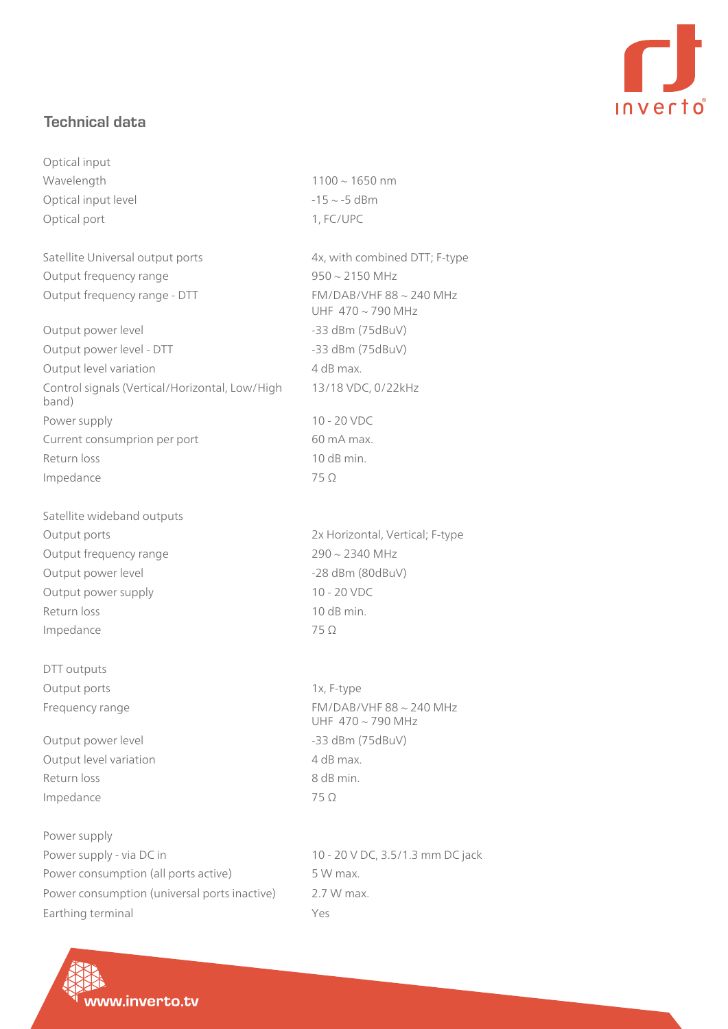

## **Technical** data

Optical input  $W$ avelength  $1100 \sim 1650$  nm Optical input level  $-15 \sim -5$  dBm Optical port 1, FC/UPC

Satellite Universal output ports 4x, with combined DTT; F-type Output frequency range  $950 \sim 2150$  MHz Output frequency range - DTT FM/DAB/VHF 88 ~ 240 MHz

Output power level example to the same of the same states of the same of the same of the same of the same of the same of the same of the same of the same of the same of the same of the same of the same of the same of the s Output power level - DTT - level power Output power level - DTT - level power ASS dBm (75dBuV) Output level variation and a variation of the 4 dB max. Control signals (Vertical/Horizontal, Low/High (band Power supply The Contract of the 20 NDC Current consumprion per port 60 mA max. Return loss 2008 and 2008 and 2008 and 2008 and 2008 and 2008 and 2008 and 2008 and 2008 and 2008 and 2008 and 2008 and 2008 and 2008 and 2008 and 2008 and 2008 and 2008 and 2008 and 2008 and 2008 and 2008 and 2008 and 200  $Impedance$  75  $\Omega$ 

Satellite wideband outputs Output frequency range frequency of 290  $\sim$  2340 MHz Output power level example to the set of the set of the set of the set of the set of the set of the set of the set of the set of the set of the set of the set of the set of the set of the set of the set of the set of the s Output power supply and the control of 10 - 20 VDC Return loss 2008 and 2008 and 2008 and 2008 and 2008 and 2008 and 2008 and 2008 and 2008 and 2008 and 2008 and 2008 and 2008 and 2008 and 2008 and 2008 and 2008 and 2008 and 2008 and 2008 and 2008 and 2008 and 2008 and 200 Impedance  $75 \Omega$ 

DTT outputs Output ports and the state of the state of the 1x, F-type

Output power level example and the same of the same states of the S23 dBm (75dBuV) Output level variation and a variation of the 4 dB max. Return loss 8 dB min. Impedance 75  $\Omega$ 

Power supply Power supply - via DC in 20 V DC, 3.5/1.3 mm DC jack Power consumption (all ports active) 5 W max. Power consumption (universal ports inactive) 2.7 W max. Earthing terminal The Ves

UHF  $470 \sim 790$  MHz 13/18 VDC, 0/22kHz

Output ports **Output ports COVERTIZE SETS** 2x Horizontal, Vertical; F-type

Frequency range Frequency range FM/DAB/VHF 88 ~ 240 MHz UHF  $470 \sim 790$  MHz